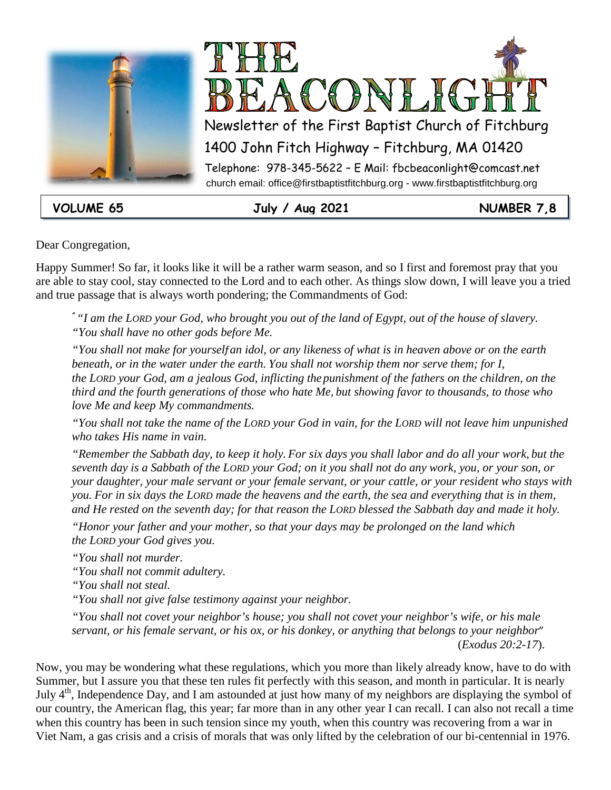



**VOLUME 65 July / Aug 2021 NUMBER 7,8**

Dear Congregation,

Happy Summer! So far, it looks like it will be a rather warm season, and so I first and foremost pray that you are able to stay cool, stay connected to the Lord and to each other. As things slow down, I will leave you a tried and true passage that is always worth pondering; the Commandments of God:

*" "I am the LORD your God, who brought you out of the land of Egypt, out of the house of slavery. "You shall have no other gods before Me.*

*"You shall not make for yourself an idol, or any likeness of what is in heaven above or on the earth beneath, or in the water under the earth. You shall not worship them nor serve them; for I, the LORD your God, am a jealous God, inflicting the punishment of the fathers on the children, on the third and the fourth generations of those who hate Me, but showing favor to thousands, to those who love Me and keep My commandments.*

*"You shall not take the name of the LORD your God in vain, for the LORD will not leave him unpunished who takes His name in vain.*

*"Remember the Sabbath day, to keep it holy. For six days you shall labor and do all your work, but the seventh day is a Sabbath of the LORD your God; on it you shall not do any work, you, or your son, or your daughter, your male servant or your female servant, or your cattle, or your resident who stays with you. For in six days the LORD made the heavens and the earth, the sea and everything that is in them, and He rested on the seventh day; for that reason the LORD blessed the Sabbath day and made it holy.*

*"Honor your father and your mother, so that your days may be prolonged on the land which the LORD your God gives you.*

*"You shall not murder.*

*"You shall not commit adultery.*

*"You shall not steal.*

*"You shall not give false testimony against your neighbor.*

*"You shall not covet your neighbor's house; you shall not covet your neighbor's wife, or his male servant, or his female servant, or his ox, or his donkey, or anything that belongs to your neighbor*" (*Exodus 20:2-17*).

Now, you may be wondering what these regulations, which you more than likely already know, have to do with Summer, but I assure you that these ten rules fit perfectly with this season, and month in particular. It is nearly July 4th, Independence Day, and I am astounded at just how many of my neighbors are displaying the symbol of our country, the American flag, this year; far more than in any other year I can recall. I can also not recall a time when this country has been in such tension since my youth, when this country was recovering from a war in Viet Nam, a gas crisis and a crisis of morals that was only lifted by the celebration of our bi-centennial in 1976.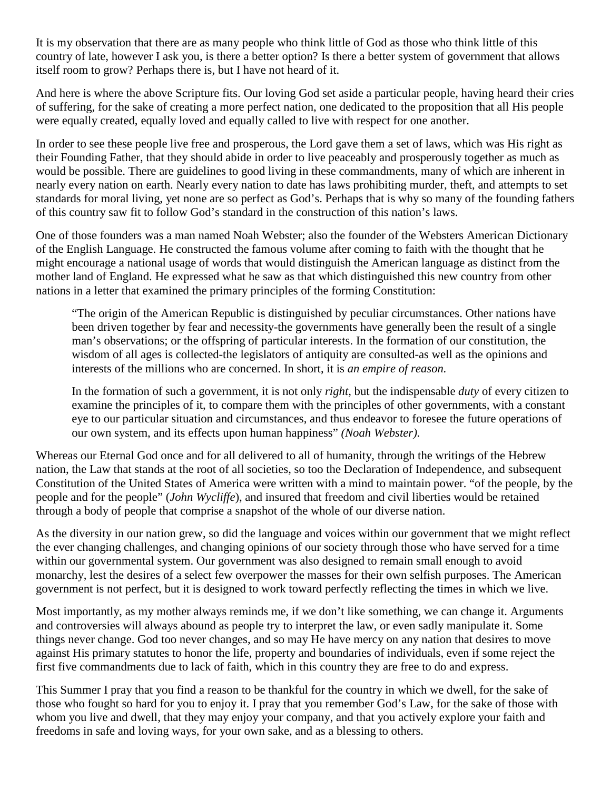It is my observation that there are as many people who think little of God as those who think little of this country of late, however I ask you, is there a better option? Is there a better system of government that allows itself room to grow? Perhaps there is, but I have not heard of it.

And here is where the above Scripture fits. Our loving God set aside a particular people, having heard their cries of suffering, for the sake of creating a more perfect nation, one dedicated to the proposition that all His people were equally created, equally loved and equally called to live with respect for one another.

In order to see these people live free and prosperous, the Lord gave them a set of laws, which was His right as their Founding Father, that they should abide in order to live peaceably and prosperously together as much as would be possible. There are guidelines to good living in these commandments, many of which are inherent in nearly every nation on earth. Nearly every nation to date has laws prohibiting murder, theft, and attempts to set standards for moral living, yet none are so perfect as God's. Perhaps that is why so many of the founding fathers of this country saw fit to follow God's standard in the construction of this nation's laws.

One of those founders was a man named Noah Webster; also the founder of the Websters American Dictionary of the English Language. He constructed the famous volume after coming to faith with the thought that he might encourage a national usage of words that would distinguish the American language as distinct from the mother land of England. He expressed what he saw as that which distinguished this new country from other nations in a letter that examined the primary principles of the forming Constitution:

"The origin of the American Republic is distinguished by peculiar circumstances. Other nations have been driven together by fear and necessity-the governments have generally been the result of a single man's observations; or the offspring of particular interests. In the formation of our constitution, the wisdom of all ages is collected-the legislators of antiquity are consulted-as well as the opinions and interests of the millions who are concerned. In short, it is *an empire of reason.*

In the formation of such a government, it is not only *right,* but the indispensable *duty* of every citizen to examine the principles of it, to compare them with the principles of other governments, with a constant eye to our particular situation and circumstances, and thus endeavor to foresee the future operations of our own system, and its effects upon human happiness" *(Noah Webster).*

Whereas our Eternal God once and for all delivered to all of humanity, through the writings of the Hebrew nation, the Law that stands at the root of all societies, so too the Declaration of Independence, and subsequent Constitution of the United States of America were written with a mind to maintain power. "of the people, by the people and for the people" (*John Wycliffe*), and insured that freedom and civil liberties would be retained through a body of people that comprise a snapshot of the whole of our diverse nation.

As the diversity in our nation grew, so did the language and voices within our government that we might reflect the ever changing challenges, and changing opinions of our society through those who have served for a time within our governmental system. Our government was also designed to remain small enough to avoid monarchy, lest the desires of a select few overpower the masses for their own selfish purposes. The American government is not perfect, but it is designed to work toward perfectly reflecting the times in which we live.

Most importantly, as my mother always reminds me, if we don't like something, we can change it. Arguments and controversies will always abound as people try to interpret the law, or even sadly manipulate it. Some things never change. God too never changes, and so may He have mercy on any nation that desires to move against His primary statutes to honor the life, property and boundaries of individuals, even if some reject the first five commandments due to lack of faith, which in this country they are free to do and express.

This Summer I pray that you find a reason to be thankful for the country in which we dwell, for the sake of those who fought so hard for you to enjoy it. I pray that you remember God's Law, for the sake of those with whom you live and dwell, that they may enjoy your company, and that you actively explore your faith and freedoms in safe and loving ways, for your own sake, and as a blessing to others.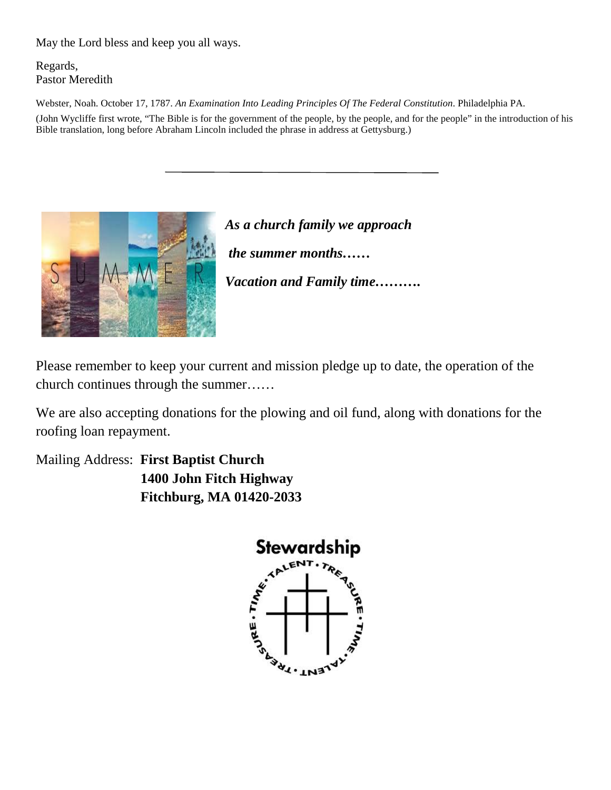May the Lord bless and keep you all ways.

Regards, Pastor Meredith

Webster, Noah. October 17, 1787. *An Examination Into Leading Principles Of The Federal Constitution*. Philadelphia PA.

(John Wycliffe first wrote, "The Bible is for the government of the people, by the people, and for the people" in the introduction of his Bible translation, long before Abraham Lincoln included the phrase in address at Gettysburg.)



*As a church family we approach the summer months…… Vacation and Family time……….*

Please remember to keep your current and mission pledge up to date, the operation of the church continues through the summer……

We are also accepting donations for the plowing and oil fund, along with donations for the roofing loan repayment.

Mailing Address: **First Baptist Church 1400 John Fitch Highway Fitchburg, MA 01420-2033**

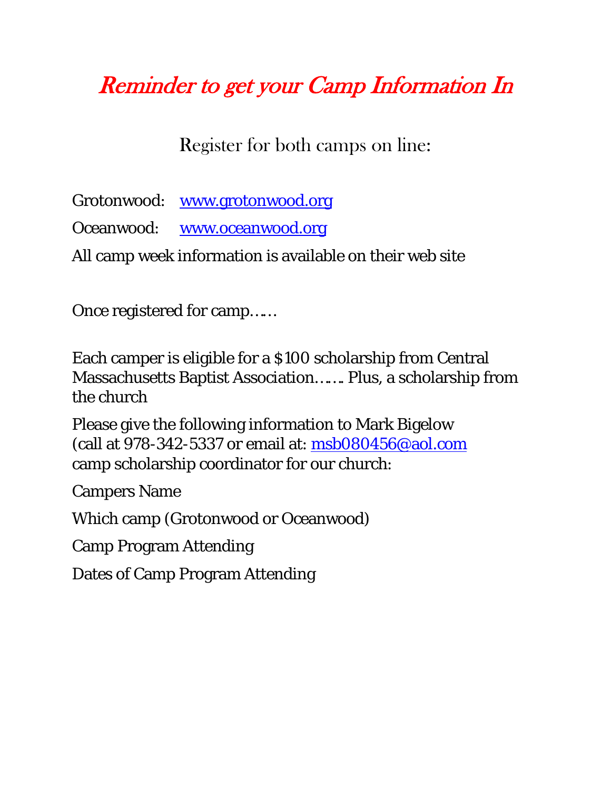### Reminder to get your Camp Information In

Register for both camps on line:

Grotonwood: [www.grotonwood.org](http://www.grotonwood.org/) Oceanwood: [www.oceanwood.org](http://www.oceanwood.org/) All camp week information is available on their web site

Once registered for camp……

Each camper is eligible for a \$100 scholarship from Central Massachusetts Baptist Association……. Plus, a scholarship from the church

Please give the following information to Mark Bigelow (call at 978-342-5337 or email at: [msb080456@aol.com](mailto:msb080456@aol.com) camp scholarship coordinator for our church:

Campers Name

Which camp (Grotonwood or Oceanwood)

Camp Program Attending

Dates of Camp Program Attending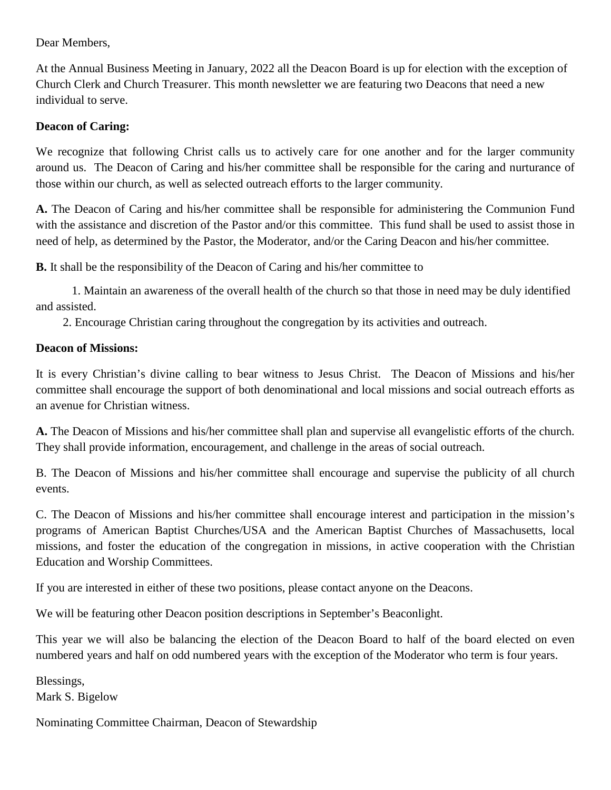Dear Members,

At the Annual Business Meeting in January, 2022 all the Deacon Board is up for election with the exception of Church Clerk and Church Treasurer. This month newsletter we are featuring two Deacons that need a new individual to serve.

#### **Deacon of Caring:**

We recognize that following Christ calls us to actively care for one another and for the larger community around us. The Deacon of Caring and his/her committee shall be responsible for the caring and nurturance of those within our church, as well as selected outreach efforts to the larger community.

**A.** The Deacon of Caring and his/her committee shall be responsible for administering the Communion Fund with the assistance and discretion of the Pastor and/or this committee. This fund shall be used to assist those in need of help, as determined by the Pastor, the Moderator, and/or the Caring Deacon and his/her committee.

**B.** It shall be the responsibility of the Deacon of Caring and his/her committee to

1. Maintain an awareness of the overall health of the church so that those in need may be duly identified and assisted.

2. Encourage Christian caring throughout the congregation by its activities and outreach.

### **Deacon of Missions:**

It is every Christian's divine calling to bear witness to Jesus Christ. The Deacon of Missions and his/her committee shall encourage the support of both denominational and local missions and social outreach efforts as an avenue for Christian witness.

**A.** The Deacon of Missions and his/her committee shall plan and supervise all evangelistic efforts of the church. They shall provide information, encouragement, and challenge in the areas of social outreach.

B. The Deacon of Missions and his/her committee shall encourage and supervise the publicity of all church events.

C. The Deacon of Missions and his/her committee shall encourage interest and participation in the mission's programs of American Baptist Churches/USA and the American Baptist Churches of Massachusetts, local missions, and foster the education of the congregation in missions, in active cooperation with the Christian Education and Worship Committees.

If you are interested in either of these two positions, please contact anyone on the Deacons.

We will be featuring other Deacon position descriptions in September's Beaconlight.

This year we will also be balancing the election of the Deacon Board to half of the board elected on even numbered years and half on odd numbered years with the exception of the Moderator who term is four years.

Blessings, Mark S. Bigelow

Nominating Committee Chairman, Deacon of Stewardship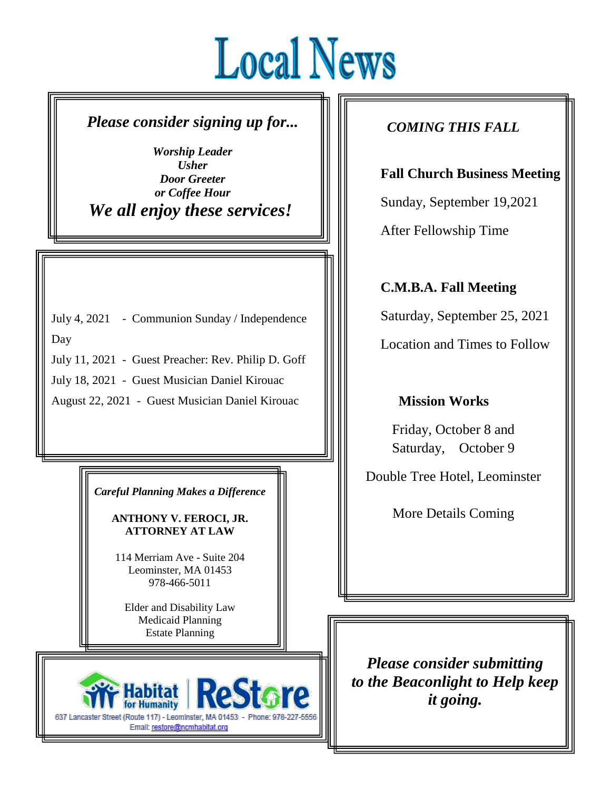# **Local News**

Ξ

### *Please consider signing up for...*

*Worship Leader Usher Door Greeter or Coffee Hour We all enjoy these services!*

July 4, 2021 - Communion Sunday / Independence

Day

July 11, 2021 - Guest Preacher: Rev. Philip D. Goff

July 18, 2021 - Guest Musician Daniel Kirouac

August 22, 2021 - Guest Musician Daniel Kirouac

*Careful Planning Makes a Difference*

**ANTHONY V. FEROCI, JR. ATTORNEY AT LAW**

114 Merriam Ave - Suite 204 Leominster, MA 01453 978-466-5011

Elder and Disability Law Medicaid Planning Estate Planning



### *COMING THIS FALL*

**Fall Church Business Meeting**

Sunday, September 19,2021

After Fellowship Time

**C.M.B.A. Fall Meeting**

Saturday, September 25, 2021

Location and Times to Follow

### **Mission Works**

Friday, October 8 and Saturday, October 9

Double Tree Hotel, Leominster

More Details Coming

*Please consider submitting to the Beaconlight to Help keep it going.*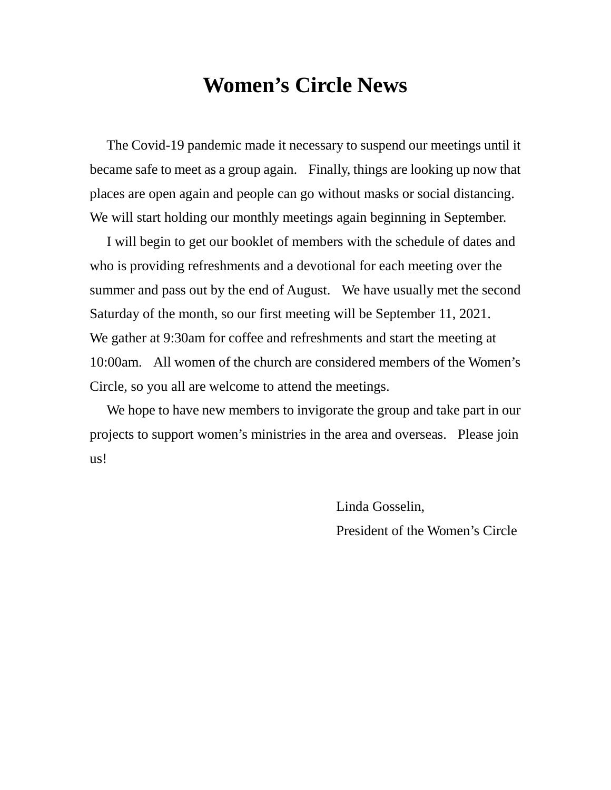### **Women's Circle News**

 The Covid-19 pandemic made it necessary to suspend our meetings until it became safe to meet as a group again. Finally, things are looking up now that places are open again and people can go without masks or social distancing. We will start holding our monthly meetings again beginning in September.

 I will begin to get our booklet of members with the schedule of dates and who is providing refreshments and a devotional for each meeting over the summer and pass out by the end of August. We have usually met the second Saturday of the month, so our first meeting will be September 11, 2021. We gather at 9:30am for coffee and refreshments and start the meeting at 10:00am. All women of the church are considered members of the Women's Circle, so you all are welcome to attend the meetings.

 We hope to have new members to invigorate the group and take part in our projects to support women's ministries in the area and overseas. Please join us!

> Linda Gosselin, President of the Women's Circle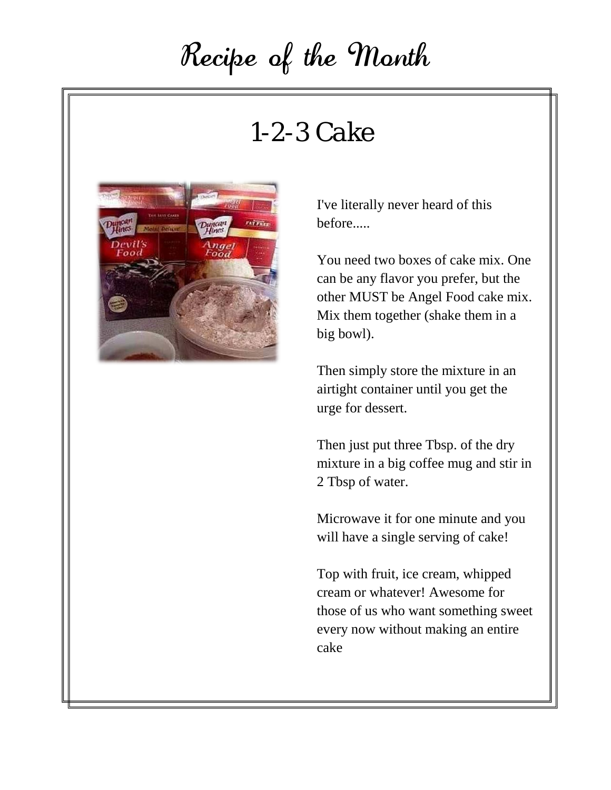## Recipe of the Month

### *1-2-3 Cake*



I've literally never heard of this before.....

You need two boxes of cake mix. One can be any flavor you prefer, but the other MUST be Angel Food cake mix. Mix them together (shake them in a big bowl).

Then simply store the mixture in an airtight container until you get the urge for dessert.

Then just put three Tbsp. of the dry mixture in a big coffee mug and stir in 2 Tbsp of water.

Microwave it for one minute and you will have a single serving of cake!

Top with fruit, ice cream, whipped cream or whatever! Awesome for those of us who want something sweet every now without making an entire cake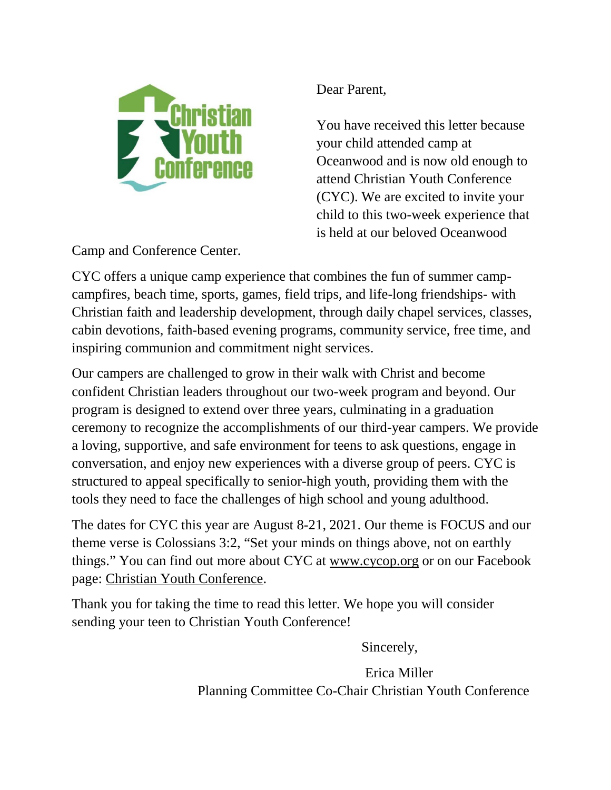

Dear Parent,

You have received this letter because your child attended camp at Oceanwood and is now old enough to attend Christian Youth Conference (CYC). We are excited to invite your child to this two-week experience that is held at our beloved Oceanwood

Camp and Conference Center.

CYC offers a unique camp experience that combines the fun of summer campcampfires, beach time, sports, games, field trips, and life-long friendships- with Christian faith and leadership development, through daily chapel services, classes, cabin devotions, faith-based evening programs, community service, free time, and inspiring communion and commitment night services.

Our campers are challenged to grow in their walk with Christ and become confident Christian leaders throughout our two-week program and beyond. Our program is designed to extend over three years, culminating in a graduation ceremony to recognize the accomplishments of our third-year campers. We provide a loving, supportive, and safe environment for teens to ask questions, engage in conversation, and enjoy new experiences with a diverse group of peers. CYC is structured to appeal specifically to senior-high youth, providing them with the tools they need to face the challenges of high school and young adulthood.

The dates for CYC this year are August 8-21, 2021. Our theme is FOCUS and our theme verse is Colossians 3:2, "Set your minds on things above, not on earthly things." You can find out more about CYC at [www.cycop.org](https://cycop.us4.list-manage.com/track/click?u=ee9b659d618bd1b650fb3385f&id=d915085ba9&e=0bbaf786b9) or on our Facebook page: [Christian Youth Conference.](https://cycop.us4.list-manage.com/track/click?u=ee9b659d618bd1b650fb3385f&id=03f2bfafa3&e=0bbaf786b9)

Thank you for taking the time to read this letter. We hope you will consider sending your teen to Christian Youth Conference!

Sincerely,

 Erica Miller Planning Committee Co-Chair Christian Youth Conference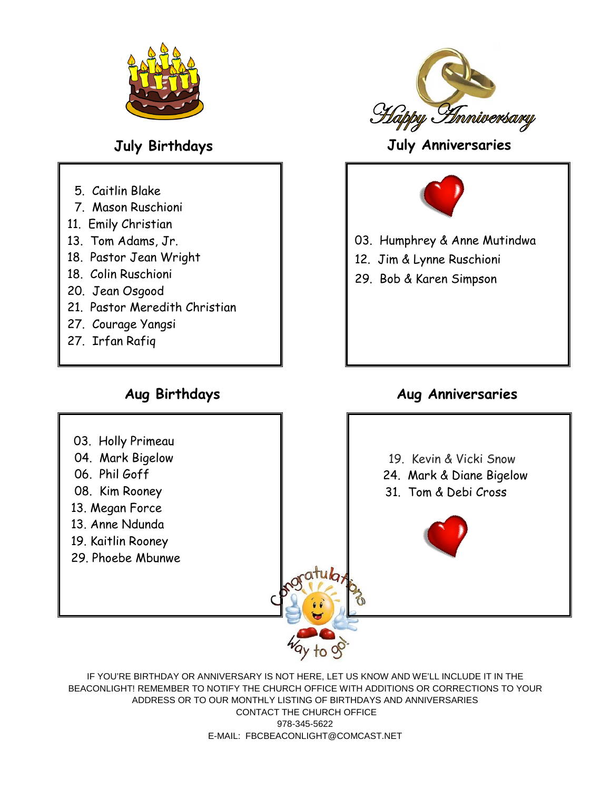

- 5. Caitlin Blake
- 7. Mason Ruschioni
- 11. Emily Christian
- 13. Tom Adams, Jr.
- 18. Pastor Jean Wright
- 18. Colin Ruschioni
- 20. Jean Osgood
- 21. Pastor Meredith Christian
- 27. Courage Yangsi
- 27. Irfan Rafiq



### **July Birthdays July Anniversaries**



- 03. Humphrey & Anne Mutindwa
- 12. Jim & Lynne Ruschioni
- 29. Bob & Karen Simpson

### **Aug Birthdays Aug Anniversaries**



IF YOU'RE BIRTHDAY OR ANNIVERSARY IS NOT HERE, LET US KNOW AND WE'LL INCLUDE IT IN THE BEACONLIGHT! REMEMBER TO NOTIFY THE CHURCH OFFICE WITH ADDITIONS OR CORRECTIONS TO YOUR ADDRESS OR TO OUR MONTHLY LISTING OF BIRTHDAYS AND ANNIVERSARIES CONTACT THE CHURCH OFFICE 978-345-5622 E-MAIL: FBCBEACONLIGHT@COMCAST.NET